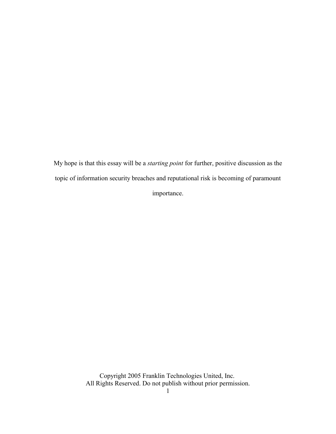My hope is that this essay will be a *starting point* for further, positive discussion as the topic of information security breaches and reputational risk is becoming of paramount importance.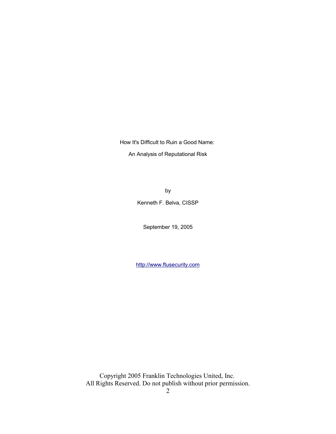How It's Difficult to Ruin a Good Name:

An Analysis of Reputational Risk

by Kenneth F. Belva, CISSP

September 19, 2005

http://www.ftusecurity.com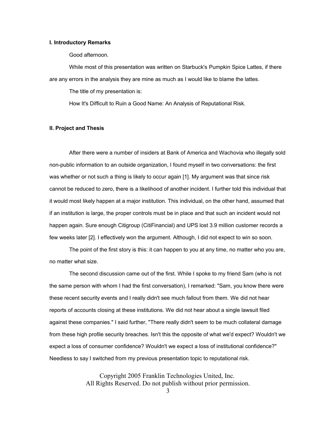#### **I. Introductory Remarks**

Good afternoon.

While most of this presentation was written on Starbuck's Pumpkin Spice Lattes, if there are any errors in the analysis they are mine as much as I would like to blame the lattes.

The title of my presentation is:

How It's Difficult to Ruin a Good Name: An Analysis of Reputational Risk.

#### **II. Project and Thesis**

After there were a number of insiders at Bank of America and Wachovia who illegally sold non-public information to an outside organization, I found myself in two conversations: the first was whether or not such a thing is likely to occur again [1]. My argument was that since risk cannot be reduced to zero, there is a likelihood of another incident. I further told this individual that it would most likely happen at a major institution. This individual, on the other hand, assumed that if an institution is large, the proper controls must be in place and that such an incident would not happen again. Sure enough Citigroup (CitiFinancial) and UPS lost 3.9 million customer records a few weeks later [2]. I effectively won the argument. Although, I did not expect to win so soon.

The point of the first story is this: it can happen to you at any time, no matter who you are, no matter what size.

The second discussion came out of the first. While I spoke to my friend Sam (who is not the same person with whom I had the first conversation), I remarked: "Sam, you know there were these recent security events and I really didn't see much fallout from them. We did not hear reports of accounts closing at these institutions. We did not hear about a single lawsuit filed against these companies." I said further, "There really didn't seem to be much collateral damage from these high profile security breaches. Isn't this the opposite of what we'd expect? Wouldn't we expect a loss of consumer confidence? Wouldn't we expect a loss of institutional confidence?" Needless to say I switched from my previous presentation topic to reputational risk.

> Copyright 2005 Franklin Technologies United, Inc. All Rights Reserved. Do not publish without prior permission.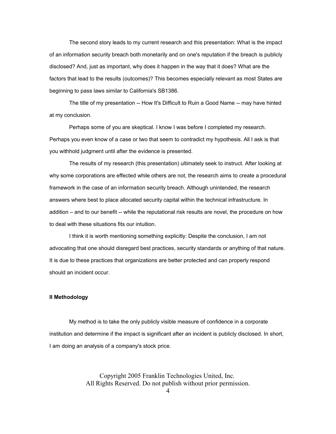The second story leads to my current research and this presentation: What is the impact of an information security breach both monetarily and on one's reputation if the breach is publicly disclosed? And, just as important, why does it happen in the way that it does? What are the factors that lead to the results (outcomes)? This becomes especially relevant as most States are beginning to pass laws similar to California's SB1386.

The title of my presentation -- How It's Difficult to Ruin a Good Name -- may have hinted at my conclusion.

Perhaps some of you are skeptical. I know I was before I completed my research. Perhaps you even know of a case or two that seem to contradict my hypothesis. All I ask is that you withhold judgment until after the evidence is presented.

The results of my research (this presentation) ultimately seek to instruct. After looking at why some corporations are effected while others are not, the research aims to create a procedural framework in the case of an information security breach. Although unintended, the research answers where best to place allocated security capital within the technical infrastructure. In addition – and to our benefit -- while the reputational risk results are novel, the procedure on how to deal with these situations fits our intuition.

I think it is worth mentioning something explicitly: Despite the conclusion, I am not advocating that one should disregard best practices, security standards or anything of that nature. It is due to these practices that organizations are better protected and can properly respond should an incident occur.

#### **II Methodology**

My method is to take the only publicly visible measure of confidence in a corporate institution and determine if the impact is significant after an incident is publicly disclosed. In short, I am doing an analysis of a company's stock price.

> Copyright 2005 Franklin Technologies United, Inc. All Rights Reserved. Do not publish without prior permission.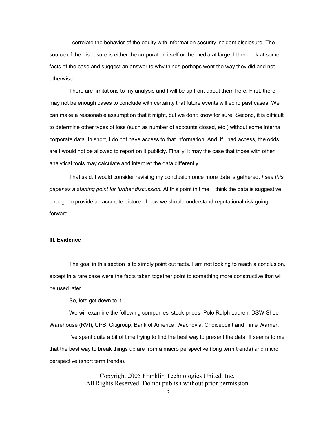I correlate the behavior of the equity with information security incident disclosure. The source of the disclosure is either the corporation itself or the media at large. I then look at some facts of the case and suggest an answer to why things perhaps went the way they did and not otherwise.

There are limitations to my analysis and I will be up front about them here: First, there may not be enough cases to conclude with certainty that future events will echo past cases. We can make a reasonable assumption that it might, but we don't know for sure. Second, it is difficult to determine other types of loss (such as number of accounts closed, etc.) without some internal corporate data. In short, I do not have access to that information. And, if I had access, the odds are I would not be allowed to report on it publicly. Finally, it may the case that those with other analytical tools may calculate and interpret the data differently.

That said, I would consider revising my conclusion once more data is gathered. *I see this paper as a starting point for further discussion.* At this point in time, I think the data is suggestive enough to provide an accurate picture of how we should understand reputational risk going forward.

#### **III. Evidence**

The goal in this section is to simply point out facts. I am not looking to reach a conclusion, except in a rare case were the facts taken together point to something more constructive that will be used later.

So, lets get down to it.

We will examine the following companies' stock prices: Polo Ralph Lauren, DSW Shoe Warehouse (RVI), UPS, Citigroup, Bank of America, Wachovia, Choicepoint and Time Warner.

I've spent quite a bit of time trying to find the best way to present the data. It seems to me that the best way to break things up are from a macro perspective (long term trends) and micro perspective (short term trends).

> Copyright 2005 Franklin Technologies United, Inc. All Rights Reserved. Do not publish without prior permission.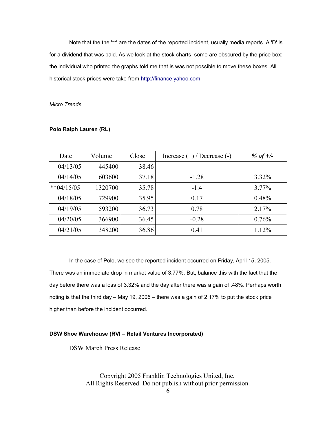Note that the the '\*\*' are the dates of the reported incident, usually media reports. A 'D' is for a dividend that was paid. As we look at the stock charts, some are obscured by the price box: the individual who printed the graphs told me that is was not possible to move these boxes. All historical stock prices were take from http://finance.yahoo.com.

#### *Micro Trends*

| Date          | Volume  | Close | Increase $(+)$ / Decrease $(-)$ | % of $+/-$ |
|---------------|---------|-------|---------------------------------|------------|
| 04/13/05      | 445400  | 38.46 |                                 |            |
| 04/14/05      | 603600  | 37.18 | $-1.28$                         | $3.32\%$   |
| ** $04/15/05$ | 1320700 | 35.78 | $-1.4$                          | $3.77\%$   |
| 04/18/05      | 729900  | 35.95 | 0.17                            | 0.48%      |
| 04/19/05      | 593200  | 36.73 | 0.78                            | 2.17%      |
| 04/20/05      | 366900  | 36.45 | $-0.28$                         | 0.76%      |
| 04/21/05      | 348200  | 36.86 | 0.41                            | 1.12%      |

#### **Polo Ralph Lauren (RL)**

In the case of Polo, we see the reported incident occurred on Friday, April 15, 2005. There was an immediate drop in market value of 3.77%. But, balance this with the fact that the day before there was a loss of 3.32% and the day after there was a gain of .48%. Perhaps worth noting is that the third day – May 19, 2005 – there was a gain of 2.17% to put the stock price higher than before the incident occurred.

#### **DSW Shoe Warehouse (RVI – Retail Ventures Incorporated)**

DSW March Press Release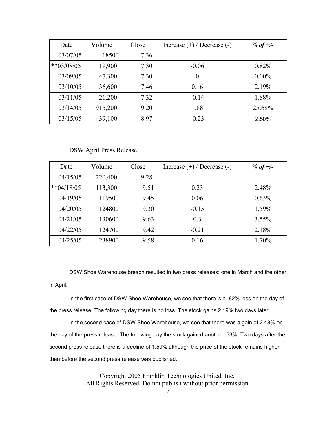| Date          | Volume  | Close | Increase $(+)$ / Decrease $(-)$ | % of $+/-$ |
|---------------|---------|-------|---------------------------------|------------|
| 03/07/05      | 18500   | 7.36  |                                 |            |
| $*$ *03/08/05 | 19,900  | 7.30  | $-0.06$                         | 0.82%      |
| 03/09/05      | 47,300  | 7.30  | $\theta$                        | $0.00\%$   |
| 03/10/05      | 36,600  | 7.46  | 0.16                            | 2.19%      |
| 03/11/05      | 21,200  | 7.32  | $-0.14$                         | 1.88%      |
| 03/14/05      | 915,200 | 9.20  | 1.88                            | 25.68%     |
| 03/15/05      | 439,100 | 8.97  | $-0.23$                         | 2.50%      |

#### DSW April Press Release

| Date          | Volume  | Close | Increase $(+)$ / Decrease $(-)$ | % of $\pm$ /- |
|---------------|---------|-------|---------------------------------|---------------|
| 04/15/05      | 220,400 | 9.28  |                                 |               |
| $*$ *04/18/05 | 113,300 | 9.51  | 0.23                            | 2.48%         |
| 04/19/05      | 119500  | 9.45  | 0.06                            | 0.63%         |
| 04/20/05      | 124800  | 9.30  | $-0.15$                         | 1.59%         |
| 04/21/05      | 130600  | 9.63  | 0.3                             | $3.55\%$      |
| 04/22/05      | 124700  | 9.42  | $-0.21$                         | 2.18%         |
| 04/25/05      | 238900  | 9.58  | 0.16                            | 1.70%         |

DSW Shoe Warehouse breach resulted in two press releases: one in March and the other in April.

In the first case of DSW Shoe Warehouse, we see that there is a .82% loss on the day of the press release. The following day there is no loss. The stock gains 2.19% two days later.

In the second case of DSW Shoe Warehouse, we see that there was a gain of 2.48% on the day of the press release. The following day the stock gained another .63%. Two days after the second press release there is a decline of 1.59% although the price of the stock remains higher than before the second press release was published.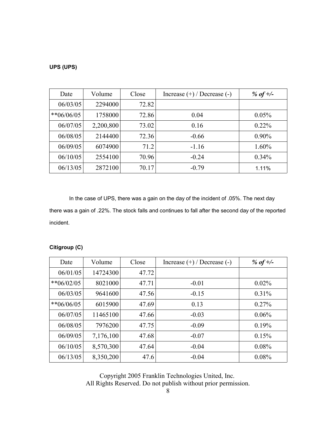#### **UPS (UPS)**

| Date       | Volume    | Close | Increase $(+)$ / Decrease $(-)$ | % of $\pm$ /- |
|------------|-----------|-------|---------------------------------|---------------|
| 06/03/05   | 2294000   | 72.82 |                                 |               |
| **06/06/05 | 1758000   | 72.86 | 0.04                            | $0.05\%$      |
| 06/07/05   | 2,200,800 | 73.02 | 0.16                            | $0.22\%$      |
| 06/08/05   | 2144400   | 72.36 | $-0.66$                         | $0.90\%$      |
| 06/09/05   | 6074900   | 71.2  | $-1.16$                         | 1.60%         |
| 06/10/05   | 2554100   | 70.96 | $-0.24$                         | $0.34\%$      |
| 06/13/05   | 2872100   | 70.17 | $-0.79$                         | 1.11%         |

In the case of UPS, there was a gain on the day of the incident of .05%. The next day there was a gain of .22%. The stock falls and continues to fall after the second day of the reported incident.

#### **Citigroup (C)**

| Date          | Volume    | Close | Increase $(+)$ / Decrease $(-)$ | % of $+/-$ |
|---------------|-----------|-------|---------------------------------|------------|
| 06/01/05      | 14724300  | 47.72 |                                 |            |
| ** $06/02/05$ | 8021000   | 47.71 | $-0.01$                         | $0.02\%$   |
| 06/03/05      | 9641600   | 47.56 | $-0.15$                         | $0.31\%$   |
| **06/06/05    | 6015900   | 47.69 | 0.13                            | $0.27\%$   |
| 06/07/05      | 11465100  | 47.66 | $-0.03$                         | 0.06%      |
| 06/08/05      | 7976200   | 47.75 | $-0.09$                         | 0.19%      |
| 06/09/05      | 7,176,100 | 47.68 | $-0.07$                         | 0.15%      |
| 06/10/05      | 8,570,300 | 47.64 | $-0.04$                         | 0.08%      |
| 06/13/05      | 8,350,200 | 47.6  | $-0.04$                         | 0.08%      |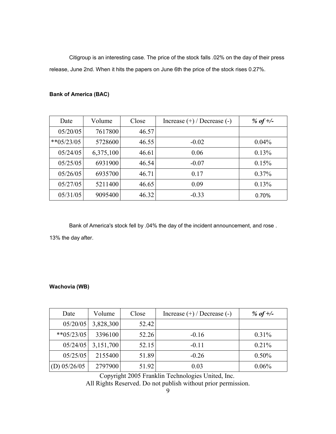Citigroup is an interesting case. The price of the stock falls .02% on the day of their press release, June 2nd. When it hits the papers on June 6th the price of the stock rises 0.27%.

#### **Bank of America (BAC)**

| Date          | Volume    | Close | Increase $(+)$ / Decrease $(-)$ | % of $\pm$ /- |
|---------------|-----------|-------|---------------------------------|---------------|
| 05/20/05      | 7617800   | 46.57 |                                 |               |
| $*$ *05/23/05 | 5728600   | 46.55 | $-0.02$                         | $0.04\%$      |
| 05/24/05      | 6,375,100 | 46.61 | 0.06                            | 0.13%         |
| 05/25/05      | 6931900   | 46.54 | $-0.07$                         | 0.15%         |
| 05/26/05      | 6935700   | 46.71 | 0.17                            | $0.37\%$      |
| 05/27/05      | 5211400   | 46.65 | 0.09                            | 0.13%         |
| 05/31/05      | 9095400   | 46.32 | $-0.33$                         | 0.70%         |

Bank of America's stock fell by .04% the day of the incident announcement, and rose .

13% the day after.

#### **Wachovia (WB)**

| Date           | Volume    | Close | Increase $(+)$ / Decrease $(-)$ | % of $+/-$ |
|----------------|-----------|-------|---------------------------------|------------|
| 05/20/05       | 3,828,300 | 52.42 |                                 |            |
| $*$ *05/23/05  | 3396100   | 52.26 | $-0.16$                         | $0.31\%$   |
| 05/24/05       | 3,151,700 | 52.15 | $-0.11$                         | 0.21%      |
| 05/25/05       | 2155400   | 51.89 | $-0.26$                         | $0.50\%$   |
| (D) $05/26/05$ | 2797900   | 51.92 | 0.03                            | $0.06\%$   |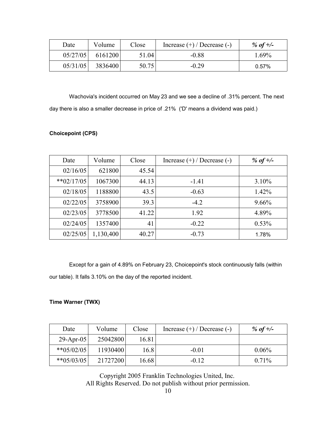| Date     | Volume  | Close | Increase $(+)$ / Decrease $(-)$ | % of $\pm$ /- |
|----------|---------|-------|---------------------------------|---------------|
| 05/27/05 | 6161200 | 51.04 | $-0.88$                         | 1.69%         |
| 05/31/05 | 3836400 | 50.75 | $-0.29$                         | $0.57\%$      |

Wachovia's incident occurred on May 23 and we see a decline of .31% percent. The next day there is also a smaller decrease in price of .21% ('D' means a dividend was paid.)

#### **Choicepoint (CPS)**

| Date          | Volume    | Close | Increase $(+)$ / Decrease $(-)$ | % of $\pm$ /- |
|---------------|-----------|-------|---------------------------------|---------------|
| 02/16/05      | 621800    | 45.54 |                                 |               |
| $*$ *02/17/05 | 1067300   | 44.13 | $-1.41$                         | $3.10\%$      |
| 02/18/05      | 1188800   | 43.5  | $-0.63$                         | 1.42%         |
| 02/22/05      | 3758900   | 39.3  | $-4.2$                          | $9.66\%$      |
| 02/23/05      | 3778500   | 41.22 | 1.92                            | 4.89%         |
| 02/24/05      | 1357400   | 41    | $-0.22$                         | $0.53\%$      |
| 02/25/05      | 1,130,400 | 40.27 | $-0.73$                         | 1.78%         |

Except for a gain of 4.89% on February 23, Choicepoint's stock continuously falls (within our table). It falls 3.10% on the day of the reported incident.

#### **Time Warner (TWX)**

| Date          | Volume   | Close | Increase $(+)$ / Decrease $(-)$ | % of +/- |
|---------------|----------|-------|---------------------------------|----------|
| 29-Apr-05     | 25042800 | 16.81 |                                 |          |
| $*$ *05/02/05 | 11930400 | 16.8  | $-0.01$                         | $0.06\%$ |
| $*$ *05/03/05 | 21727200 | 16.68 | $-0.12$                         | $0.71\%$ |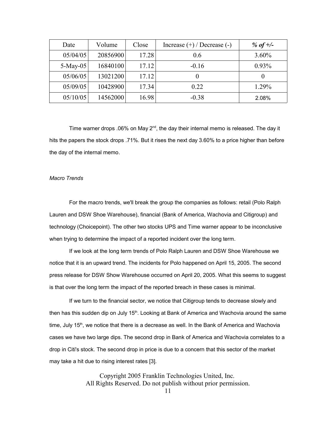| Date       | Volume   | Close | Increase $(+)$ / Decrease $(-)$ | % of $\pm$ /- |
|------------|----------|-------|---------------------------------|---------------|
| 05/04/05   | 20856900 | 17.28 | 0.6                             | $3.60\%$      |
| $5-May-05$ | 16840100 | 17.12 | $-0.16$                         | $0.93\%$      |
| 05/06/05   | 13021200 | 17.12 | $\theta$                        | $\theta$      |
| 05/09/05   | 10428900 | 17.34 | 0.22                            | 1.29%         |
| 05/10/05   | 14562000 | 16.98 | $-0.38$                         | 2.08%         |

Time warner drops .06% on May 2<sup>nd</sup>, the day their internal memo is released. The day it hits the papers the stock drops .71%. But it rises the next day 3.60% to a price higher than before the day of the internal memo.

#### *Macro Trends*

For the macro trends, we'll break the group the companies as follows: retail (Polo Ralph Lauren and DSW Shoe Warehouse), financial (Bank of America, Wachovia and Citigroup) and technology (Choicepoint). The other two stocks UPS and Time warner appear to be inconclusive when trying to determine the impact of a reported incident over the long term.

If we look at the long term trends of Polo Ralph Lauren and DSW Shoe Warehouse we notice that it is an upward trend. The incidents for Polo happened on April 15, 2005. The second press release for DSW Show Warehouse occurred on April 20, 2005. What this seems to suggest is that over the long term the impact of the reported breach in these cases is minimal.

If we turn to the financial sector, we notice that Citigroup tends to decrease slowly and then has this sudden dip on July 15<sup>th</sup>. Looking at Bank of America and Wachovia around the same time, July 15<sup>th</sup>, we notice that there is a decrease as well. In the Bank of America and Wachovia cases we have two large dips. The second drop in Bank of America and Wachovia correlates to a drop in Citi's stock. The second drop in price is due to a concern that this sector of the market may take a hit due to rising interest rates [3].

> Copyright 2005 Franklin Technologies United, Inc. All Rights Reserved. Do not publish without prior permission.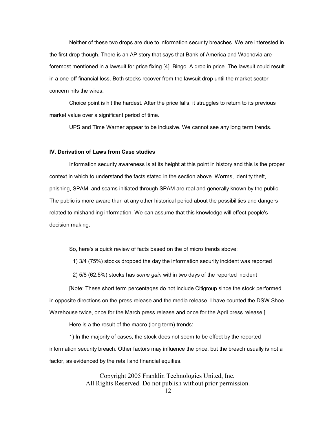Neither of these two drops are due to information security breaches. We are interested in the first drop though. There is an AP story that says that Bank of America and Wachovia are foremost mentioned in a lawsuit for price fixing [4]. Bingo. A drop in price. The lawsuit could result in a one-off financial loss. Both stocks recover from the lawsuit drop until the market sector concern hits the wires.

Choice point is hit the hardest. After the price falls, it struggles to return to its previous market value over a significant period of time.

UPS and Time Warner appear to be inclusive. We cannot see any long term trends.

#### **IV. Derivation of Laws from Case studies**

Information security awareness is at its height at this point in history and this is the proper context in which to understand the facts stated in the section above. Worms, identity theft, phishing, SPAM and scams initiated through SPAM are real and generally known by the public. The public is more aware than at any other historical period about the possibilities and dangers related to mishandling information. We can assume that this knowledge will effect people's decision making.

So, here's a quick review of facts based on the of micro trends above:

1) 3/4 (75%) stocks dropped the day the information security incident was reported

2) 5/8 (62.5%) stocks has *some gain* within two days of the reported incident

[Note: These short term percentages do not include Citigroup since the stock performed in opposite directions on the press release and the media release. I have counted the DSW Shoe Warehouse twice, once for the March press release and once for the April press release.]

Here is a the result of the macro (long term) trends:

1) In the majority of cases, the stock does not seem to be effect by the reported information security breach. Other factors may influence the price, but the breach usually is not a factor, as evidenced by the retail and financial equities.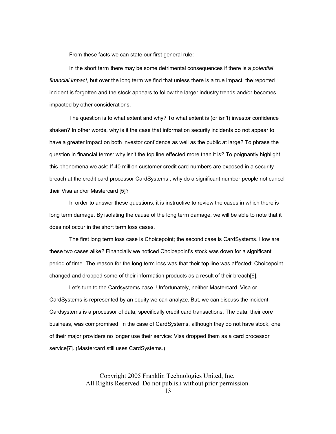From these facts we can state our first general rule:

In the short term there may be some detrimental consequences if there is a *potential financial impact*, but over the long term we find that unless there is a true impact, the reported incident is forgotten and the stock appears to follow the larger industry trends and/or becomes impacted by other considerations.

The question is to what extent and why? To what extent is (or isn't) investor confidence shaken? In other words, why is it the case that information security incidents do not appear to have a greater impact on both investor confidence as well as the public at large? To phrase the question in financial terms: why isn't the top line effected more than it is? To poignantly highlight this phenomena we ask: If 40 million customer credit card numbers are exposed in a security breach at the credit card processor CardSystems , why do a significant number people not cancel their Visa and/or Mastercard [5]?

In order to answer these questions, it is instructive to review the cases in which there is long term damage. By isolating the cause of the long term damage, we will be able to note that it does not occur in the short term loss cases.

The first long term loss case is Choicepoint; the second case is CardSystems. How are these two cases alike? Financially we noticed Choicepoint's stock was down for a significant period of time. The reason for the long term loss was that their top line was affected: Choicepoint changed and dropped some of their information products as a result of their breach[6].

Let's turn to the Cardsystems case. Unfortunately, neither Mastercard, Visa or CardSystems is represented by an equity we can analyze. But, we can discuss the incident. Cardsystems is a processor of data, specifically credit card transactions. The data, their core business, was compromised. In the case of CardSystems, although they do not have stock, one of their major providers no longer use their service: Visa dropped them as a card processor service[7]. (Mastercard still uses CardSystems.)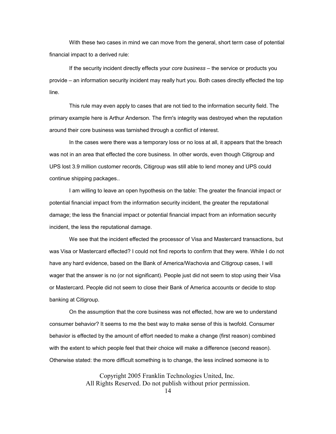With these two cases in mind we can move from the general, short term case of potential financial impact to a derived rule:

If the security incident directly effects your *core business* – the service or products you provide – an information security incident may really hurt you. Both cases directly effected the top line.

This rule may even apply to cases that are not tied to the information security field. The primary example here is Arthur Anderson. The firm's integrity was destroyed when the reputation around their core business was tarnished through a conflict of interest.

In the cases were there was a temporary loss or no loss at all, it appears that the breach was not in an area that effected the core business. In other words, even though Citigroup and UPS lost 3.9 million customer records, Citigroup was still able to lend money and UPS could continue shipping packages..

I am willing to leave an open hypothesis on the table: The greater the financial impact or potential financial impact from the information security incident, the greater the reputational damage; the less the financial impact or potential financial impact from an information security incident, the less the reputational damage.

We see that the incident effected the processor of Visa and Mastercard transactions, but was Visa or Mastercard effected? I could not find reports to confirm that they were. While I do not have any hard evidence, based on the Bank of America/Wachovia and Citigroup cases, I will wager that the answer is no (or not significant). People just did not seem to stop using their Visa or Mastercard. People did not seem to close their Bank of America accounts or decide to stop banking at Citigroup.

On the assumption that the core business was not effected, how are we to understand consumer behavior? It seems to me the best way to make sense of this is twofold. Consumer behavior is effected by the amount of effort needed to make a change (first reason) combined with the extent to which people feel that their choice will make a difference (second reason). Otherwise stated: the more difficult something is to change, the less inclined someone is to

> Copyright 2005 Franklin Technologies United, Inc. All Rights Reserved. Do not publish without prior permission.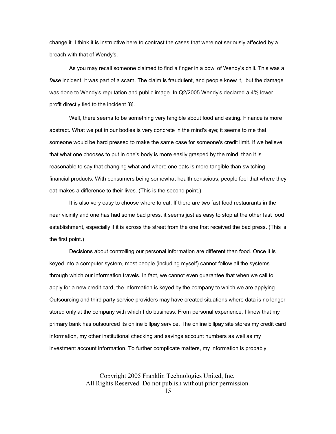change it. I think it is instructive here to contrast the cases that were not seriously affected by a breach with that of Wendy's.

As you may recall someone claimed to find a finger in a bowl of Wendy's chili. This was a *false* incident; it was part of a scam. The claim is fraudulent, and people knew it, but the damage was done to Wendy's reputation and public image. In Q2/2005 Wendy's declared a 4% lower profit directly tied to the incident [8].

Well, there seems to be something very tangible about food and eating. Finance is more abstract. What we put in our bodies is very concrete in the mind's eye; it seems to me that someone would be hard pressed to make the same case for someone's credit limit. If we believe that what one chooses to put in one's body is more easily grasped by the mind, than it is reasonable to say that changing what and where one eats is more tangible than switching financial products. With consumers being somewhat health conscious, people feel that where they eat makes a difference to their lives. (This is the second point.)

It is also very easy to choose where to eat. If there are two fast food restaurants in the near vicinity and one has had some bad press, it seems just as easy to stop at the other fast food establishment, especially if it is across the street from the one that received the bad press. (This is the first point.)

Decisions about controlling our personal information are different than food. Once it is keyed into a computer system, most people (including myself) cannot follow all the systems through which our information travels. In fact, we cannot even guarantee that when we call to apply for a new credit card, the information is keyed by the company to which we are applying. Outsourcing and third party service providers may have created situations where data is no longer stored only at the company with which I do business. From personal experience, I know that my primary bank has outsourced its online billpay service. The online billpay site stores my credit card information, my other institutional checking and savings account numbers as well as my investment account information. To further complicate matters, my information is probably

> Copyright 2005 Franklin Technologies United, Inc. All Rights Reserved. Do not publish without prior permission.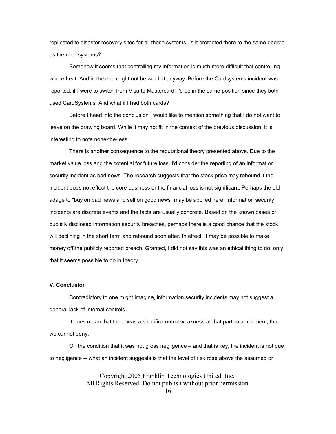replicated to disaster recovery sites for all these systems. Is it protected there to the same degree as the core systems?

Somehow it seems that controlling my information is much more difficult that controlling where I eat. And in the end might not be worth it anyway: Before the Cardsystems incident was reported, if I were to switch from Visa to Mastercard, I'd be in the same position since they both used CardSystems. And what if I had both cards?

Before I head into the conclusion I would like to mention something that I do not want to leave on the drawing board. While it may not fit in the context of the previous discussion, it is interesting to note none-the-less:

There is another consequence to the reputational theory presented above. Due to the market value loss and the potential for future loss, I'd consider the reporting of an information security incident as bad news. The research suggests that the stock price may rebound if the incident does not effect the core business or the financial loss is not significant. Perhaps the old adage to "buy on bad news and sell on good news" may be applied here. Information security incidents are discrete events and the facts are usually concrete. Based on the known cases of publicly disclosed information security breaches, perhaps there is a good chance that the stock will declining in the short term and rebound soon after. In effect, it may be possible to make money off the publicly reported breach. Granted, I did not say this was an ethical thing to do, only that it seems possible to do in theory.

#### **V. Conclusion**

Contradictory to one might imagine, information security incidents may not suggest a general lack of internal controls.

It does mean that there was a specific control weakness at that particular moment, that we cannot deny.

On the condition that it was not gross negligence – and that is key, the incident is not due to negligence -- what an incident suggests is that the level of risk rose above the assumed or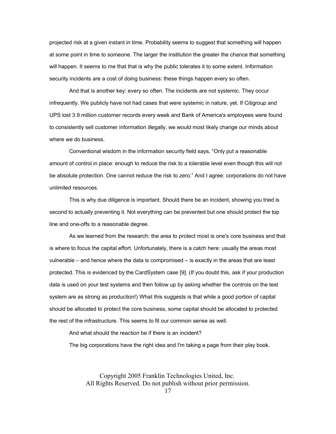projected risk at a given instant in time. Probability seems to suggest that something will happen at some point in time to someone. The larger the institution the greater the chance that something will happen. It seems to me that that is why the public tolerates it to some extent. Information security incidents are a cost of doing business: these things happen every so often.

And that is another key: every so often. The incidents are not systemic. They occur infrequently. We publicly have not had cases that were systemic in nature, yet. If Citigroup and UPS lost 3.9 million customer records every week and Bank of America's employees were found to consistently sell customer information illegally, we would most likely change our minds about where we do business.

Conventional wisdom in the information security field says, "Only put a reasonable amount of control in place: enough to reduce the risk to a tolerable level even though this will not be absolute protection. One cannot reduce the risk to zero." And I agree: corporations do not have unlimited resources.

This is why due diligence is important. Should there be an incident, showing you tried is second to actually preventing it. Not everything can be prevented but one should protect the top line and one-offs to a reasonable degree.

As we learned from the research: the area to protect most is one's core business and that is where to focus the capital effort. Unfortunately, there is a catch here: usually the areas most vulnerable – and hence where the data is compromised – is exactly in the areas that are least protected. This is evidenced by the CardSystem case [9]. (If you doubt this, ask if your production data is used on your test systems and then follow up by asking whether the controls on the test system are as strong as production!) What this suggests is that while a good portion of capital should be allocated to protect the core business, some capital should be allocated to protected the rest of the infrastructure. This seems to fit our common sense as well.

And what should the reaction be if there is an incident?

The big corporations have the right idea and I'm taking a page from their play book.

Copyright 2005 Franklin Technologies United, Inc. All Rights Reserved. Do not publish without prior permission.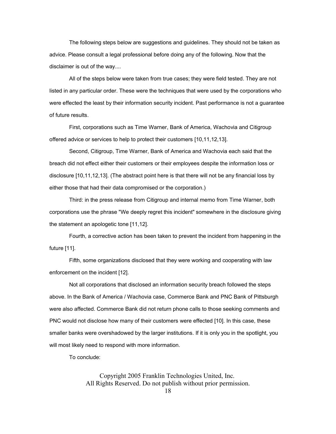The following steps below are suggestions and guidelines. They should not be taken as advice. Please consult a legal professional before doing any of the following. Now that the disclaimer is out of the way....

All of the steps below were taken from true cases; they were field tested. They are not listed in any particular order. These were the techniques that were used by the corporations who were effected the least by their information security incident. Past performance is not a guarantee of future results.

First, corporations such as Time Warner, Bank of America, Wachovia and Citigroup offered advice or services to help to protect their customers [10,11,12,13].

Second, Citigroup, Time Warner, Bank of America and Wachovia each said that the breach did not effect either their customers or their employees despite the information loss or disclosure [10,11,12,13]. (The abstract point here is that there will not be any financial loss by either those that had their data compromised or the corporation.)

Third: in the press release from Citigroup and internal memo from Time Warner, both corporations use the phrase "We deeply regret this incident" somewhere in the disclosure giving the statement an apologetic tone [11,12].

Fourth, a corrective action has been taken to prevent the incident from happening in the future [11].

Fifth, some organizations disclosed that they were working and cooperating with law enforcement on the incident [12].

Not all corporations that disclosed an information security breach followed the steps above. In the Bank of America / Wachovia case, Commerce Bank and PNC Bank of Pittsburgh were also affected. Commerce Bank did not return phone calls to those seeking comments and PNC would not disclose how many of their customers were effected [10]. In this case, these smaller banks were overshadowed by the larger institutions. If it is only you in the spotlight, you will most likely need to respond with more information.

To conclude: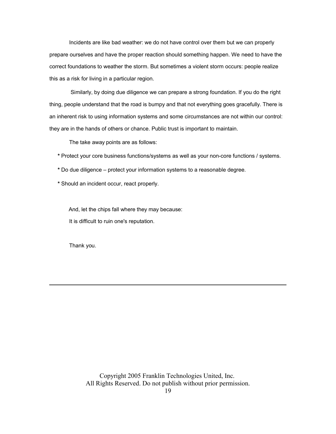Incidents are like bad weather: we do not have control over them but we can properly prepare ourselves and have the proper reaction should something happen. We need to have the correct foundations to weather the storm. But sometimes a violent storm occurs: people realize this as a risk for living in a particular region.

Similarly, by doing due diligence we can prepare a strong foundation. If you do the right thing, people understand that the road is bumpy and that not everything goes gracefully. There is an inherent risk to using information systems and some circumstances are not within our control: they are in the hands of others or chance. Public trust is important to maintain.

The take away points are as follows:

**\*** Protect your core business functions/systems as well as your non-core functions / systems.

- **\*** Do due diligence protect your information systems to a reasonable degree.
- **\*** Should an incident occur, react properly.

And, let the chips fall where they may because: It is difficult to ruin one's reputation.

Thank you.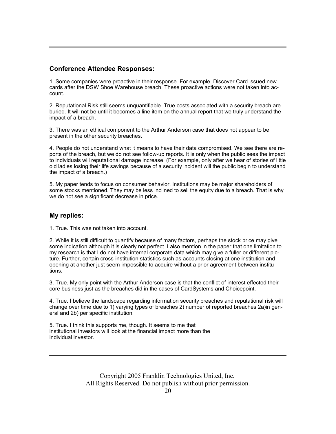#### **Conference Attendee Responses:**

1. Some companies were proactive in their response. For example, Discover Card issued new cards after the DSW Shoe Warehouse breach. These proactive actions were not taken into account.

2. Reputational Risk still seems unquantifiable. True costs associated with a security breach are buried. It will not be until it becomes a line item on the annual report that we truly understand the impact of a breach.

3. There was an ethical component to the Arthur Anderson case that does not appear to be present in the other security breaches.

4. People do not understand what it means to have their data compromised. We see there are reports of the breach, but we do not see follow-up reports. It is only when the public sees the impact to individuals will reputational damage increase. (For example, only after we hear of stories of little old ladies losing their life savings because of a security incident will the public begin to understand the impact of a breach.)

5. My paper tends to focus on consumer behavior. Institutions may be major shareholders of some stocks mentioned. They may be less inclined to sell the equity due to a breach. That is why we do not see a significant decrease in price.

#### **My replies:**

1. True. This was not taken into account.

2. While it is still difficult to quantify because of many factors, perhaps the stock price may give some indication although it is clearly not perfect. I also mention in the paper that one limitation to my research is that I do not have internal corporate data which may give a fuller or different picture. Further, certain cross-institution statistics such as accounts closing at one institution and opening at another just seem impossible to acquire without a prior agreement between institutions.

3. True. My only point with the Arthur Anderson case is that the conflict of interest effected their core business just as the breaches did in the cases of CardSystems and Choicepoint.

4. True. I believe the landscape regarding information security breaches and reputational risk will change over time due to 1) varying types of breaches 2) number of reported breaches 2a)in general and 2b) per specific institution.

5. True. I think this supports me, though. It seems to me that institutional investors will look at the financial impact more than the individual investor.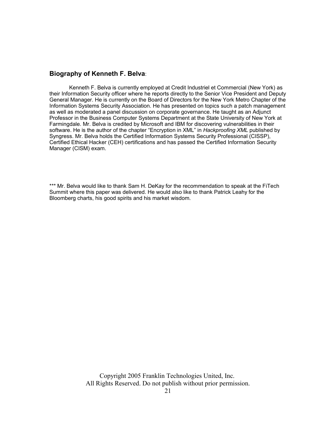#### **Biography of Kenneth F. Belva**:

Kenneth F. Belva is currently employed at Credit Industriel et Commercial (New York) as their Information Security officer where he reports directly to the Senior Vice President and Deputy General Manager. He is currently on the Board of Directors for the New York Metro Chapter of the Information Systems Security Association. He has presented on topics such a patch management as well as moderated a panel discussion on corporate governance. He taught as an Adjunct Professor in the Business Computer Systems Department at the State University of New York at Farmingdale. Mr. Belva is credited by Microsoft and IBM for discovering vulnerabilities in their software. He is the author of the chapter "Encryption in XML" in *Hackproofing XML* published by Syngress. Mr. Belva holds the Certified Information Systems Security Professional (CISSP), Certified Ethical Hacker (CEH) certifications and has passed the Certified Information Security Manager (CISM) exam.

\*\*\* Mr. Belva would like to thank Sam H. DeKay for the recommendation to speak at the FiTech Summit where this paper was delivered. He would also like to thank Patrick Leahy for the Bloomberg charts, his good spirits and his market wisdom.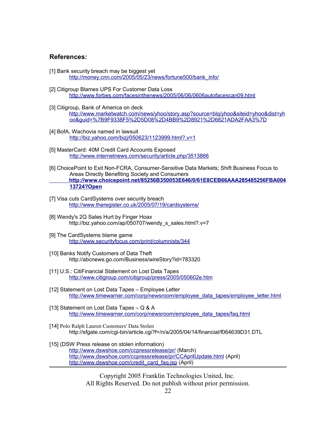#### **References:**

- [1] Bank security breach may be biggest yet http://money.cnn.com/2005/05/23/news/fortune500/bank\_info/
- [2] Citigroup Blames UPS For Customer Data Loss http://www.forbes.com/facesinthenews/2005/06/06/0606autofacescan09.html
- [3] Citigroup, Bank of America on deck http://www.marketwatch.com/news/yhoo/story.asp?source=blq/yhoo&siteid=yhoo&dist=yh oo&guid=%7B9F9338F5%2D5D08%2D4BB9%2D8921%2D6821ADA2FAA3%7D
- [4] BofA, Wachovia named in lawsuit http://biz.yahoo.com/bizj/050623/1123999.html?.v=1
- [5] MasterCard: 40M Credit Card Accounts Exposed http://www.internetnews.com/security/article.php/3513866
- [6] ChoicePoint to Exit Non-FCRA, Consumer-Sensitive Data Markets; Shift Business Focus to Areas Directly Benefiting Society and Consumers  **http://www.choicepoint.net/85256B350053E646/0/61E8CEB66AAA285485256FBA004 13724?Open**
- [7] Visa cuts CardSystems over security breach http://www.theregister.co.uk/2005/07/19/cardsystems/
- [8] Wendy's 2Q Sales Hurt by Finger Hoax http://biz.yahoo.com/ap/050707/wendy\_s\_sales.html?.v=7
- [9] The CardSystems blame game http://www.securityfocus.com/print/columnists/344
- [10] Banks Notify Customers of Data Theft http://abcnews.go.com/Business/wireStory?id=783320
- [11] U.S.: CitiFinancial Statement on Lost Data Tapes http://www.citigroup.com/citigroup/press/2005/050602e.htm
- [12] Statement on Lost Data Tapes Employee Letter http://www.timewarner.com/corp/newsroom/employee\_data\_tapes/employee\_letter.html
- [13] Statement on Lost Data Tapes Q & A http://www.timewarner.com/corp/newsroom/employee\_data\_tapes/faq.html
- [14] Polo Ralph Lauren Customers' Data Stolen http://sfgate.com/cgi-bin/article.cgi?f=/n/a/2005/04/14/financial/f064639D31.DTL
- [15] (DSW Press release on stolen information) http://www.dswshoe.com/ccpressrelease/pr/ (March) http://www.dswshoe.com/ccpressrelease/pr/CCAprilUpdate.html (April) http://www.dswshoe.com/credit\_card\_faq.jsp (April)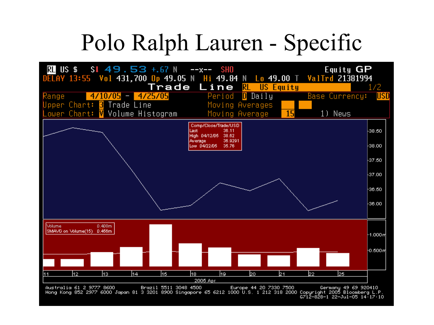# Polo Ralph Lauren - Specific

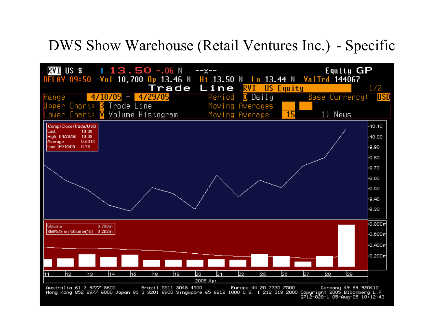### DWS Show Warehouse (Retail Ventures Inc.) - Specific

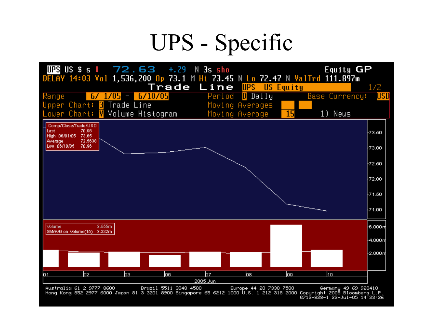# UPS - Specific

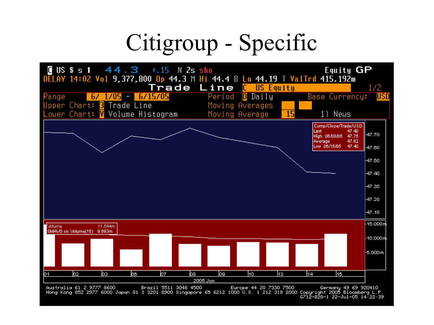# Citigroup - Specific

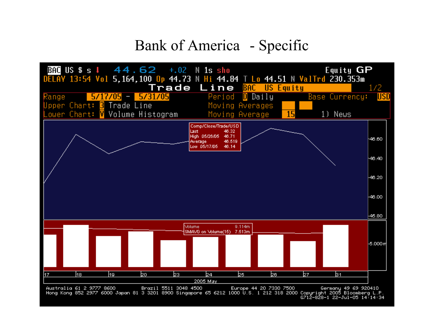### Bank of America - Specific

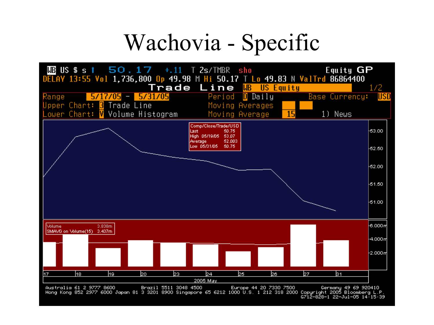## Wachovia - Specific

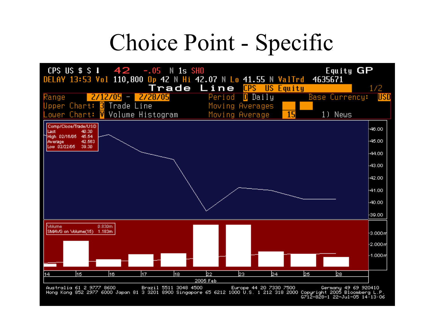## Choice Point - Specific

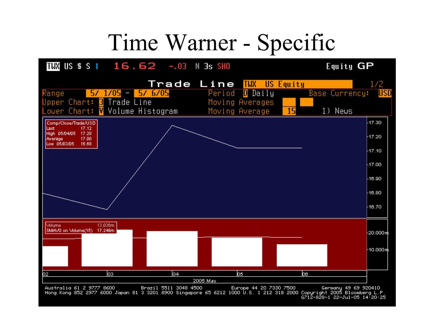## Time Warner - Specific

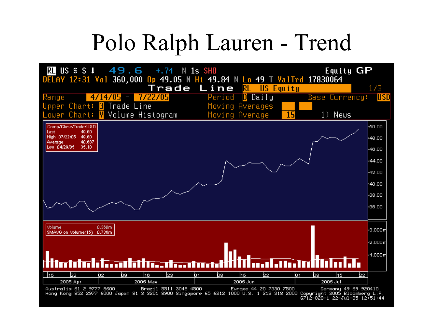# Polo Ralph Lauren - Trend

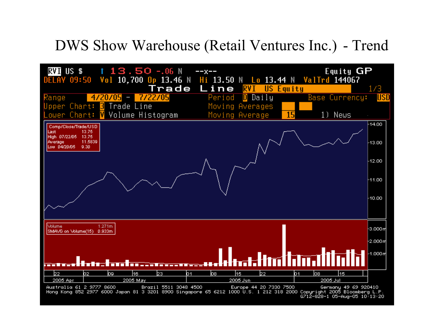### DWS Show Warehouse (Retail Ventures Inc.) - Trend

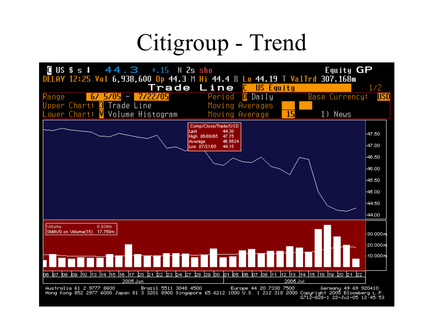# Citigroup - Trend

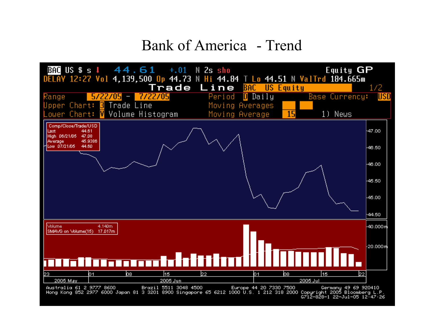### Bank of America - Trend

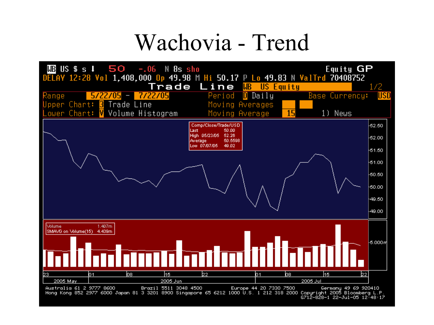## Wachovia - Trend

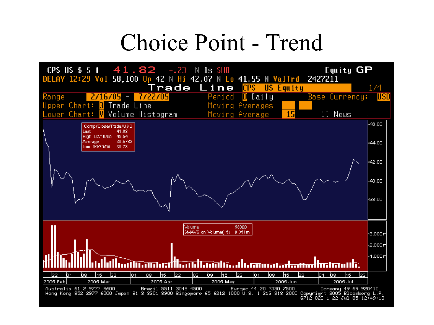## Choice Point - Trend

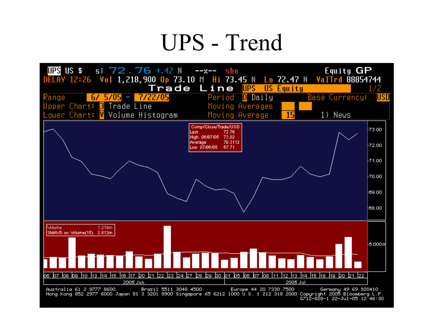# UPS - Trend